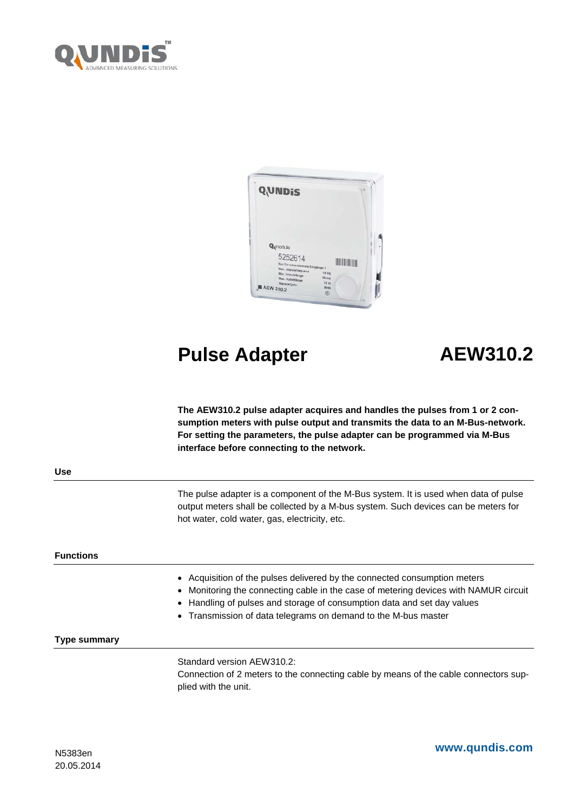



# **Pulse Adapter AEW310.2**

**The AEW310.2 pulse adapter acquires and handles the pulses from 1 or 2 consumption meters with pulse output and transmits the data to an M-Bus-network. For setting the parameters, the pulse adapter can be programmed via M-Bus interface before connecting to the network.** 

**Use**

The pulse adapter is a component of the M-Bus system. It is used when data of pulse output meters shall be collected by a M-bus system. Such devices can be meters for hot water, cold water, gas, electricity, etc.

# **Functions**

- Acquisition of the pulses delivered by the connected consumption meters
- Monitoring the connecting cable in the case of metering devices with NAMUR circuit
- Handling of pulses and storage of consumption data and set day values
- Transmission of data telegrams on demand to the M-bus master

# **Type summary**

Standard version AEW310.2: Connection of 2 meters to the connecting cable by means of the cable connectors supplied with the unit.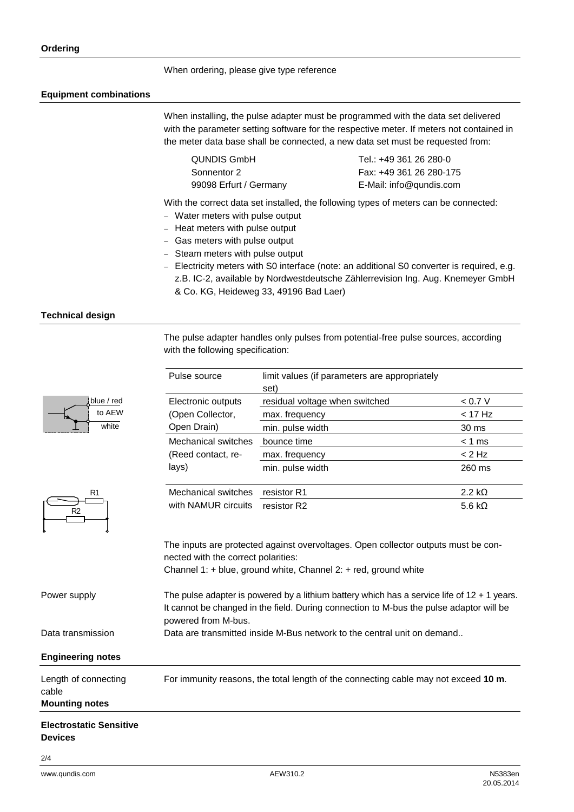### When ordering, please give type reference

#### **Equipment combinations**

When installing, the pulse adapter must be programmed with the data set delivered with the parameter setting software for the respective meter. If meters not contained in the meter data base shall be connected, a new data set must be requested from:

QUNDIS GmbH Sonnentor 2 99098 Erfurt / Germany Tel.: +49 361 26 280-0 Fax: +49 361 26 280-175 E-Mail: info@qundis.com

With the correct data set installed, the following types of meters can be connected:

- − Water meters with pulse output
- − Heat meters with pulse output
- − Gas meters with pulse output
- − Steam meters with pulse output
- − Electricity meters with S0 interface (note: an additional S0 converter is required, e.g. z.B. IC-2, available by Nordwestdeutsche Zählerrevision Ing. Aug. Knemeyer GmbH & Co. KG, Heideweg 33, 49196 Bad Laer)

#### **Technical design**

| The pulse adapter handles only pulses from potential-free pulse sources, according |  |  |  |
|------------------------------------------------------------------------------------|--|--|--|
| with the following specification:                                                  |  |  |  |

|                                                        | Pulse source                                                                                                                                                                                                    | limit values (if parameters are appropriately<br>set)                                                                                                     |                |  |
|--------------------------------------------------------|-----------------------------------------------------------------------------------------------------------------------------------------------------------------------------------------------------------------|-----------------------------------------------------------------------------------------------------------------------------------------------------------|----------------|--|
| blue / red<br>to AEW                                   | Electronic outputs                                                                                                                                                                                              | residual voltage when switched                                                                                                                            | < 0.7 V        |  |
|                                                        | (Open Collector,                                                                                                                                                                                                | max. frequency                                                                                                                                            | $<$ 17 Hz      |  |
| white                                                  | Open Drain)                                                                                                                                                                                                     | min. pulse width                                                                                                                                          | 30 ms          |  |
|                                                        | <b>Mechanical switches</b>                                                                                                                                                                                      | bounce time                                                                                                                                               | $< 1$ ms       |  |
|                                                        | (Reed contact, re-                                                                                                                                                                                              | max. frequency                                                                                                                                            | $< 2$ Hz       |  |
|                                                        | lays)                                                                                                                                                                                                           | min. pulse width                                                                                                                                          | 260 ms         |  |
| R <sub>1</sub>                                         | Mechanical switches                                                                                                                                                                                             | resistor R1                                                                                                                                               | $2.2 k\Omega$  |  |
| R <sub>2</sub>                                         | with NAMUR circuits                                                                                                                                                                                             | resistor R2                                                                                                                                               | 5.6 k $\Omega$ |  |
|                                                        | nected with the correct polarities:                                                                                                                                                                             | The inputs are protected against overvoltages. Open collector outputs must be con-<br>Channel 1: $+$ blue, ground white, Channel 2: $+$ red, ground white |                |  |
| Power supply                                           | The pulse adapter is powered by a lithium battery which has a service life of $12 + 1$ years.<br>It cannot be changed in the field. During connection to M-bus the pulse adaptor will be<br>powered from M-bus. |                                                                                                                                                           |                |  |
| Data transmission                                      | Data are transmitted inside M-Bus network to the central unit on demand                                                                                                                                         |                                                                                                                                                           |                |  |
| <b>Engineering notes</b>                               |                                                                                                                                                                                                                 |                                                                                                                                                           |                |  |
| Length of connecting<br>cable<br><b>Mounting notes</b> |                                                                                                                                                                                                                 | For immunity reasons, the total length of the connecting cable may not exceed 10 m.                                                                       |                |  |
|                                                        |                                                                                                                                                                                                                 |                                                                                                                                                           |                |  |

### **Electrostatic Sensitive Devices**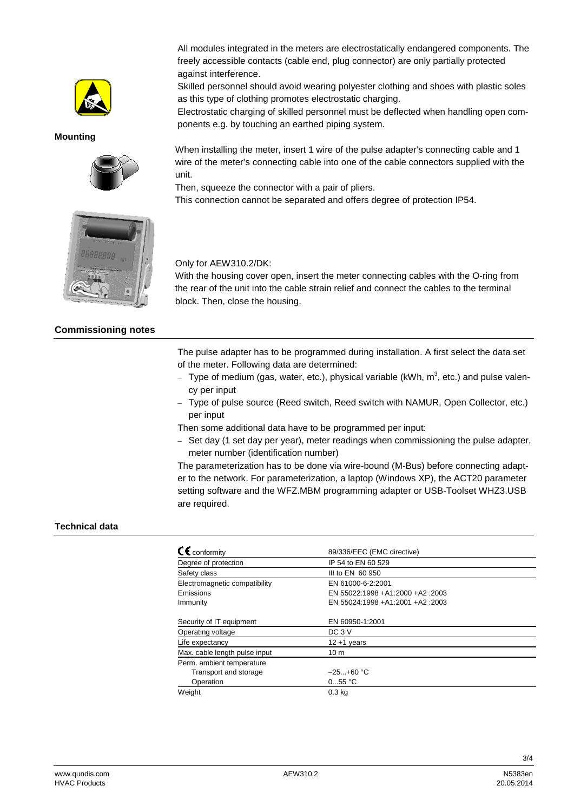

**Mounting**



All modules integrated in the meters are electrostatically endangered components. The freely accessible contacts (cable end, plug connector) are only partially protected against interference.

Skilled personnel should avoid wearing polyester clothing and shoes with plastic soles as this type of clothing promotes electrostatic charging.

Electrostatic charging of skilled personnel must be deflected when handling open components e.g. by touching an earthed piping system.

When installing the meter, insert 1 wire of the pulse adapter's connecting cable and 1 wire of the meter's connecting cable into one of the cable connectors supplied with the unit.

Then, squeeze the connector with a pair of pliers.

This connection cannot be separated and offers degree of protection IP54.



# **Commissioning notes**

Only for AEW310.2/DK:

With the housing cover open, insert the meter connecting cables with the O-ring from the rear of the unit into the cable strain relief and connect the cables to the terminal block. Then, close the housing.

The pulse adapter has to be programmed during installation. A first select the data set of the meter. Following data are determined:

- − Type of medium (gas, water, etc.), physical variable (kWh, m<sup>3</sup>, etc.) and pulse valency per input
- − Type of pulse source (Reed switch, Reed switch with NAMUR, Open Collector, etc.) per input

Then some additional data have to be programmed per input:

− Set day (1 set day per year), meter readings when commissioning the pulse adapter, meter number (identification number)

The parameterization has to be done via wire-bound (M-Bus) before connecting adapter to the network. For parameterization, a laptop (Windows XP), the ACT20 parameter setting software and the WFZ.MBM programming adapter or USB-Toolset WHZ3.USB are required.

# **Technical data**

| $\epsilon$ conformity         | 89/336/EEC (EMC directive)      |
|-------------------------------|---------------------------------|
| Degree of protection          | IP 54 to EN 60 529              |
| Safety class                  | III to EN 60 950                |
| Electromagnetic compatibility | EN 61000-6-2:2001               |
| Emissions                     | EN 55022:1998 +A1:2000 +A2:2003 |
| Immunity                      | EN 55024:1998 +A1:2001 +A2:2003 |
| Security of IT equipment      | EN 60950-1:2001                 |
| Operating voltage             | $DC3$ V                         |
| Life expectancy               | $12 + 1$ years                  |
| Max. cable length pulse input | 10 <sub>m</sub>                 |
| Perm. ambient temperature     |                                 |
| Transport and storage         | $-25+60$ °C                     |
| Operation                     | 055 °C                          |
| Weight                        | 0.3 <sub>kq</sub>               |

3/4